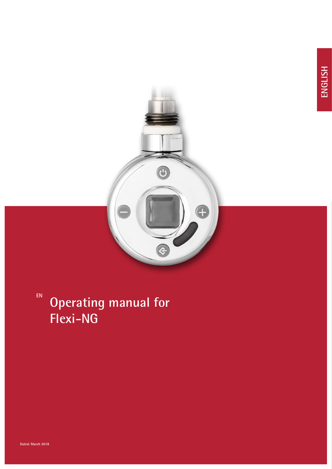

**EN**

# **Operating manual for Flexi-NG**

**Dated: March 2018**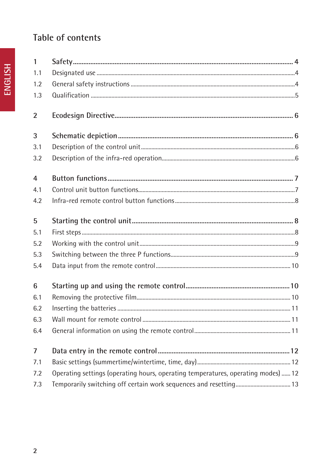# Table of contents

|                | 1   |
|----------------|-----|
|                | 1.1 |
| <b>HSITDNE</b> | 1.2 |
|                | 1.3 |
|                |     |
|                | 2   |
|                |     |

| 1.1            |                                                                                   |  |
|----------------|-----------------------------------------------------------------------------------|--|
| 1.2            |                                                                                   |  |
| 1.3            |                                                                                   |  |
| $\overline{2}$ |                                                                                   |  |
| $\overline{3}$ |                                                                                   |  |
| 3.1            |                                                                                   |  |
| 3.2            |                                                                                   |  |
| $\overline{4}$ |                                                                                   |  |
| 4.1            |                                                                                   |  |
| 4.2            |                                                                                   |  |
| 5              |                                                                                   |  |
| 5.1            |                                                                                   |  |
| 5.2            |                                                                                   |  |
| 5.3            |                                                                                   |  |
| 5.4            |                                                                                   |  |
| 6              |                                                                                   |  |
| 6.1            |                                                                                   |  |
| 6.2            |                                                                                   |  |
| 6.3            |                                                                                   |  |
| 6.4            |                                                                                   |  |
| $\overline{7}$ |                                                                                   |  |
| 7.1            |                                                                                   |  |
| 7.2            | Operating settings (operating hours, operating temperatures, operating modes)  12 |  |
| 7.3            |                                                                                   |  |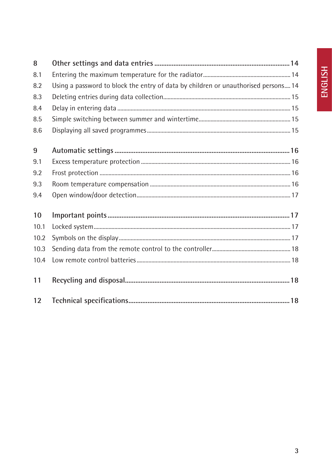| 8    |                                                                                    |  |
|------|------------------------------------------------------------------------------------|--|
| 8.1  |                                                                                    |  |
| 8.2  | Using a password to block the entry of data by children or unauthorised persons 14 |  |
| 8.3  |                                                                                    |  |
| 8.4  |                                                                                    |  |
| 8.5  |                                                                                    |  |
| 8.6  |                                                                                    |  |
| 9    |                                                                                    |  |
| 9.1  |                                                                                    |  |
| 9.2  |                                                                                    |  |
| 9.3  |                                                                                    |  |
| 9.4  |                                                                                    |  |
| 10   |                                                                                    |  |
| 10.1 |                                                                                    |  |
| 10.2 |                                                                                    |  |
| 10.3 |                                                                                    |  |
| 10.4 |                                                                                    |  |
| 11   |                                                                                    |  |
| 12   |                                                                                    |  |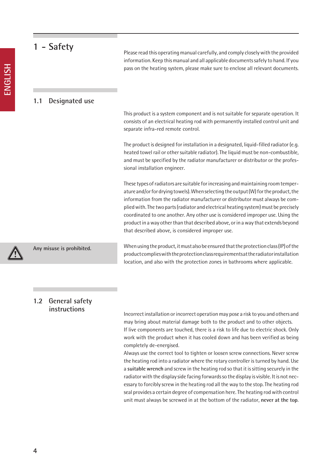| 1 - Safety                | Please read this operating manual carefully, and comply closely with the provided<br>information. Keep this manual and all applicable documents safely to hand. If you<br>pass on the heating system, please make sure to enclose all relevant documents.                                                                                                                                                                                                                                                                                                                      |
|---------------------------|--------------------------------------------------------------------------------------------------------------------------------------------------------------------------------------------------------------------------------------------------------------------------------------------------------------------------------------------------------------------------------------------------------------------------------------------------------------------------------------------------------------------------------------------------------------------------------|
| Designated use<br>1.1     |                                                                                                                                                                                                                                                                                                                                                                                                                                                                                                                                                                                |
|                           | This product is a system component and is not suitable for separate operation. It<br>consists of an electrical heating rod with permanently installed control unit and<br>separate infra-red remote control.                                                                                                                                                                                                                                                                                                                                                                   |
|                           | The product is designed for installation in a designated, liquid-filled radiator (e.g.<br>heated towel rail or other suitable radiator). The liquid must be non-combustible,<br>and must be specified by the radiator manufacturer or distributor or the profes-<br>sional installation engineer.                                                                                                                                                                                                                                                                              |
|                           | These types of radiators are suitable for increasing and maintaining room temper-<br>ature and/or for drying towels). When selecting the output (W) for the product, the<br>information from the radiator manufacturer or distributor must always be com-<br>plied with. The two parts (radiator and electrical heating system) must be precisely<br>coordinated to one another. Any other use is considered improper use. Using the<br>product in a way other than that described above, or in a way that extends beyond<br>that described above, is considered improper use. |
| Any misuse is prohibited. | When using the product, it must also be ensured that the protection class (IP) of the<br>product complies with the protection class requirements at the radiator installation                                                                                                                                                                                                                                                                                                                                                                                                  |

#### **1.2 General safety instructions**

Incorrect installation or incorrect operation may pose a risk to you and others and may bring about material damage both to the product and to other objects. If live components are touched, there is a risk to life due to electric shock. Only work with the product when it has cooled down and has been verified as being completely de-energised.

location, and also with the protection zones in bathrooms where applicable.

Always use the correct tool to tighten or loosen screw connections. Never screw the heating rod into a radiator where the rotary controller is turned by hand. Use a **suitable wrench** and screw in the heating rod so that it is sitting securely in the radiator with the display side facing forwards so the display is visible. It is not necessary to forcibly screw in the heating rod all the way to the stop. The heating rod seal provides a certain degree of compensation here. The heating rod with control unit must always be screwed in at the bottom of the radiator, **never at the top**.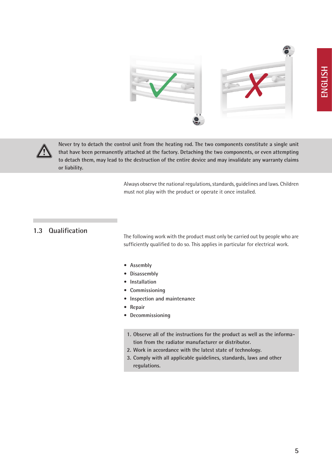



**Never try to detach the control unit from the heating rod. The two components constitute a single unit that have been permanently attached at the factory. Detaching the two components, or even attempting to detach them, may lead to the destruction of the entire device and may invalidate any warranty claims or liability.**

> Always observe the national regulations, standards, guidelines and laws. Children must not play with the product or operate it once installed.

#### **1.3 Qualification**

The following work with the product must only be carried out by people who are sufficiently qualified to do so. This applies in particular for electrical work.

- **• Assembly**
- **• Disassembly**
- **• Installation**
- **• Commissioning**
- **• Inspection and maintenance**
- **• Repair**
- **• Decommissioning**
- **1. Observe all of the instructions for the product as well as the information from the radiator manufacturer or distributor.**
- **2. Work in accordance with the latest state of technology.**
- **3. Comply with all applicable guidelines, standards, laws and other regulations.**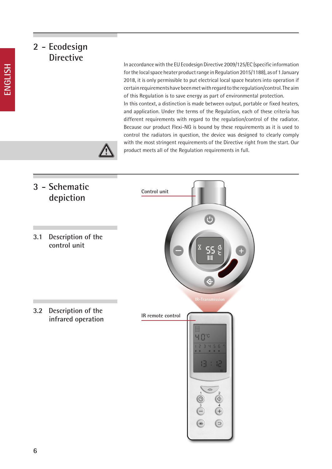# **2 - Ecodesign Directive**

In accordance with the EU Ecodesign Directive 2009/125/EC (specific information for the local space heater product range in Regulation 2015/1188), as of 1 January 2018, it is only permissible to put electrical local space heaters into operation if certain requirements have been met with regard to the regulation/control. The aim of this Regulation is to save energy as part of environmental protection. In this context, a distinction is made between output, portable or fixed heaters, and application. Under the terms of the Regulation, each of these criteria has different requirements with regard to the regulation/control of the radiator. Because our product Flexi-NG is bound by these requirements as it is used to control the radiators in question, the device was designed to clearly comply with the most stringent requirements of the Directive right from the start. Our product meets all of the Regulation requirements in full.



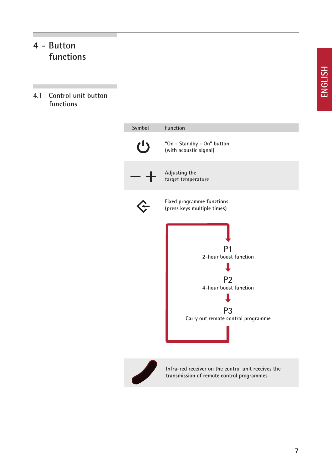# **4 - Button functions**

×

**4.1 Control unit button functions**

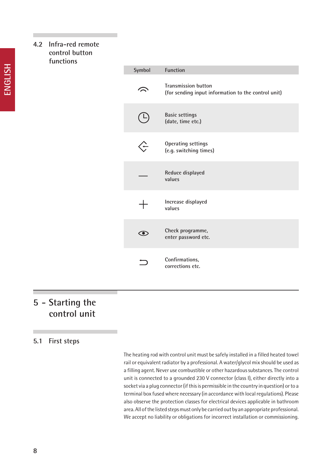#### **4.2 Infra-red remote control button functions**

| Symbol | <b>Function</b>                                                                   |
|--------|-----------------------------------------------------------------------------------|
|        | <b>Transmission button</b><br>(for sending input information to the control unit) |
|        | <b>Basic settings</b><br>(date, time etc.)                                        |
|        | <b>Operating settings</b><br>(e.g. switching times)                               |
|        | Reduce displayed<br>values                                                        |
| $\pm$  | Increase displayed<br>values                                                      |
|        | Check programme,<br>enter password etc.                                           |
|        | Confirmations,<br>corrections etc.                                                |

# **5 - Starting the control unit**

#### **5.1 First steps**

The heating rod with control unit must be safely installed in a filled heated towel rail or equivalent radiator by a professional. A water/glycol mix should be used as a filling agent. Never use combustible or other hazardous substances. The control unit is connected to a grounded 230 V connector (class I), either directly into a socket via a plug connector (if this is permissible in the country in question) or to a terminal box fused where necessary (in accordance with local regulations). Please also observe the protection classes for electrical devices applicable in bathroom area. All of the listed steps must only be carried out by an appropriate professional. We accept no liability or obligations for incorrect installation or commissioning.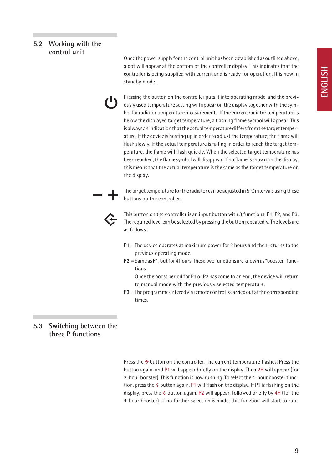#### **5.2 Working with the control unit**

Once the power supply for the control unit has been established as outlined above, a dot will appear at the bottom of the controller display. This indicates that the controller is being supplied with current and is ready for operation. It is now in standby mode.

Pressing the button on the controller puts it into operating mode, and the previously used temperature setting will appear on the display together with the symbol for radiator temperature measurements. If the current radiator temperature is below the displayed target temperature, a flashing flame symbol will appear. This is always an indication that the actual temperature differs from the target temperature. If the device is heating up in order to adjust the temperature, the flame will flash slowly. If the actual temperature is falling in order to reach the target temperature, the flame will flash quickly. When the selected target temperature has been reached, the flame symbol will disappear. If no flame is shown on the display, this means that the actual temperature is the same as the target temperature on the display.

The target temperature for the radiator can be adjusted in 5°C intervals using these buttons on the controller.



This button on the controller is an input button with 3 functions: P1, P2, and P3. The required level can be selected by pressing the button repeatedly. The levels are as follows:

- **P1** =The device operates at maximum power for 2 hours and then returns to the previous operating mode.
- **P2** =Same as P1, but for 4 hours. These two functions are known as "booster" functions.

Once the boost period for P1 or P2 has come to an end, the device will return to manual mode with the previously selected temperature.

**P3** =The programme entered via remote control is carried out at the corresponding times.

#### **5.3 Switching between the three P functions**

Press the  $\triangle$  button on the controller. The current temperature flashes. Press the button again, and P1 will appear briefly on the display. Then 2H will appear (for 2-hour booster). This function is now running. To select the 4-hour booster function, press the  $\triangle$  button again. P1 will flash on the display. If P1 is flashing on the display, press the  $\div$  button again. P2 will appear, followed briefly by 4H (for the 4-hour booster). If no further selection is made, this function will start to run.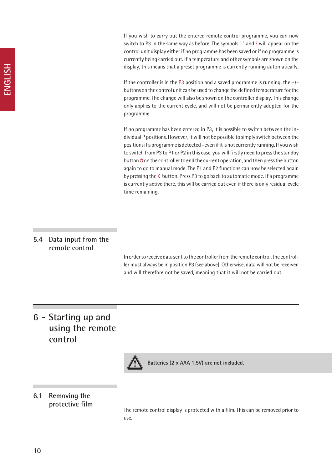If you wish to carry out the entered remote control programme, you can now switch to P3 in the same way as before. The symbols "." and  $\mathbb{X}$  will appear on the control unit display either if no programme has been saved or if no programme is currently being carried out. If a temperature and other symbols are shown on the display, this means that a preset programme is currently running automatically.

If the controller is in the P3 position and a saved programme is running, the  $+$ /buttons on the control unit can be used to change the defined temperature for the programme. The change will also be shown on the controller display. This change only applies to the current cycle, and will not be permanently adopted for the programme.

If no programme has been entered in P3, it is possible to switch between the individual P positions. However, it will not be possible to simply switch between the positions if a programme is detected - even if it is not currently running. If you wish to switch from P3 to P1 or P2 in this case, you will firstly need to press the standby button  $\Phi$  on the controller to end the current operation, and then press the button again to go to manual mode. The P1 and P2 functions can now be selected again by pressing the  $\div$  button. Press P3 to go back to automatic mode. If a programme is currently active there, this will be carried out even if there is only residual cycle time remaining.

#### **5.4 Data input from the remote control**

In order to receive data sent to the controller from the remote control, the controller must always be in position **P3** (see above). Otherwise, data will not be received and will therefore not be saved, meaning that it will not be carried out.

# **6 - Starting up and using the remote control**



**Batteries (2 x AAA 1.5V) are not included.**

#### **6.1 Removing the protective film**

The remote control display is protected with a film. This can be removed prior to use.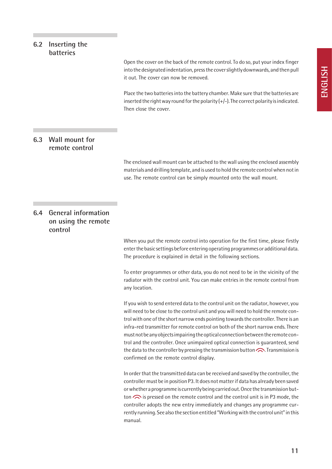#### **6.2 Inserting the batteries**

Open the cover on the back of the remote control. To do so, put your index finger into the designated indentation, press the cover slightly downwards, and then pull it out. The cover can now be removed.

Place the two batteries into the battery chamber. Make sure that the batteries are inserted the right way round for the polarity  $(+/-)$ . The correct polarity is indicated. Then close the cover.

#### **6.3 Wall mount for remote control**

The enclosed wall mount can be attached to the wall using the enclosed assembly materials and drilling template, and is used to hold the remote control when not in use. The remote control can be simply mounted onto the wall mount.

#### **6.4 General information on using the remote control**

When you put the remote control into operation for the first time, please firstly enter the basic settings before entering operating programmes or additional data. The procedure is explained in detail in the following sections.

To enter programmes or other data, you do not need to be in the vicinity of the radiator with the control unit. You can make entries in the remote control from any location.

If you wish to send entered data to the control unit on the radiator, however, you will need to be close to the control unit and you will need to hold the remote control with one of the short narrow ends pointing towards the controller. There is an infra-red transmitter for remote control on both of the short narrow ends. There must not be any objects impairing the optical connection between the remote control and the controller. Once unimpaired optical connection is guaranteed, send the data to the controller by pressing the transmission button  $\bigodot$ . Transmission is confirmed on the remote control display.

In order that the transmitted data can be received and saved by the controller, the controller must be in position P3. It does not matter if data has already been saved or whether a programme is currently being carried out. Once the transmission button  $\odot$  is pressed on the remote control and the control unit is in P3 mode, the controller adopts the new entry immediately and changes any programme currently running. See also the section entitled "Working with the control unit" in this manual.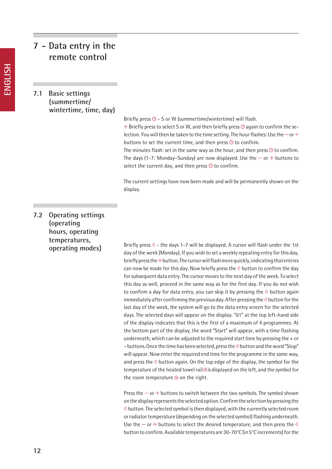# **7 - Data entry in the remote control**

#### **7.1 Basic settings (summertime/ wintertime, time, day)**

Briefly press  $\odot$  - S or W (summertime/wintertime) will flash.

 $+$  Briefly press to select S or W, and then briefly press  $\odot$  again to confirm the selection. You will then be taken to the time setting. The hour flashes: Use the  $-$  or  $+$ buttons to set the current time, and then press  $\Theta$  to confirm.

The minutes flash: set in the same way as the hour, and then press  $\odot$  to confirm. The days (1-7: Monday–Sunday) are now displayed. Use the  $-$  or  $+$  buttons to select the current day, and then press  $\Theta$  to confirm.

The current settings have now been made and will be permanently shown on the display.

**7.2 Operating settings (operating hours, operating temperatures, operating modes)**

Briefly press  $\hat{C}$  - the days 1-7 will be displayed. A cursor will flash under the 1st day of the week (Monday). If you wish to set a weekly repeating entry for this day, briefly press the  $+$  button. The cursor will flash more quickly, indicating that entries can now be made for this day. Now briefly press the  $\hat{\diamond}$  button to confirm the day for subsequent data entry. The cursor moves to the next day of the week. To select this day as well, proceed in the same way as for the first day. If you do not wish to confirm a day for data entry, you can skip it by pressing the  $\Diamond$  button again immediately after confirming the previous day. After pressing the  $\odot$  button for the last day of the week, the system will go to the data entry screen for the selected days. The selected days will appear on the display. "01" at the top left-hand side of the display indicates that this is the first of a maximum of 4 programmes. At the bottom part of the display, the word "Start" will appear, with a time flashing underneath, which can be adjusted to the required start time by pressing the + or – buttons. Once the time has been selected, press the  $\hat{\diamond}$  button and the word "Stop" will appear. Now enter the required end time for the programme in the same way, and press the  $\hat{\diamond}$  button again. On the top edge of the display, the symbol for the temperature of the heated towel rail  $\exists$  is displayed on the left, and the symbol for the room temperature  $\oplus$  on the right.

Press the  $-$  or  $+$  buttons to switch between the two symbols. The symbol shown on the display represents the selected option. Confirm the selection by pressing the  $\Diamond$  button. The selected symbol is then displayed, with the currently selected room or radiator temperature (depending on the selected symbol) flashing underneath. Use the  $-$  or  $+$  buttons to select the desired temperature, and then press the  $\hat{\epsilon}$ button to confirm. Available temperatures are 30-70°C (in 5°C increments) for the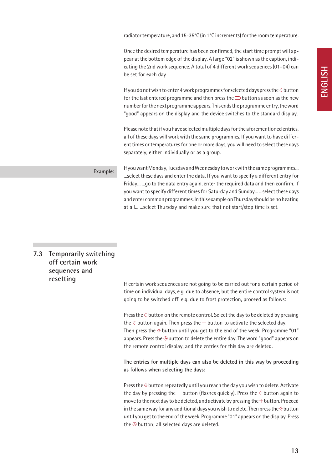radiator temperature, and 15-35°C (in 1°C increments) for the room temperature.

Once the desired temperature has been confirmed, the start time prompt will appear at the bottom edge of the display. A large "02" is shown as the caption, indicating the 2nd work sequence. A total of 4 different work sequences (01–04) can be set for each day.

If you do not wish to enter 4 work programmes for selected days press the  $\Diamond$  button for the last entered programme and then press the  $\supset$  button as soon as the new number for the next programme appears. This ends the programme entry, the word "good" appears on the display and the device switches to the standard display.

Please note that if you have selected multiple days for the aforementioned entries, all of these days will work with the same programmes. If you want to have different times or temperatures for one or more days, you will need to select these days separately, either individually or as a group.

**Example:**

If you want Monday, Tuesday and Wednesday to work with the same programmes... ...select these days and enter the data. If you want to specify a different entry for Friday... ...go to the data entry again, enter the required data and then confirm. If you want to specify different times for Saturday and Sunday... ...select these days and enter common programmes. In this example on Thursday should be no heating at all... ...select Thursday and make sure that not start/stop time is set.

#### **7.3 Temporarily switching off certain work sequences and resetting**

If certain work sequences are not going to be carried out for a certain period of time on individual days, e.g. due to absence, but the entire control system is not going to be switched off, e.g. due to frost protection, proceed as follows:

Press the  $\hat{\div}$  button on the remote control. Select the day to be deleted by pressing the  $\hat{\diamond}$  button again. Then press the  $+$  button to activate the selected day. Then press the  $\hat{\epsilon}$  button until you get to the end of the week. Programme "01" appears. Press the  $\odot$  button to delete the entire day. The word "good" appears on the remote control display, and the entries for this day are deleted.

**The entries for multiple days can also be deleted in this way by proceeding as follows when selecting the days:**

Press the  $\hat{\div}$  button repeatedly until you reach the day you wish to delete. Activate the day by pressing the  $+$  button (flashes quickly). Press the  $\Diamond$  button again to move to the next day to be deleted, and activate by pressing the  $+$  button. Proceed in the same way for any additional days you wish to delete. Then press the  $\diamond$  button until you get to the end of the week. Programme "01" appears on the display. Press the  $\Theta$  button; all selected days are deleted.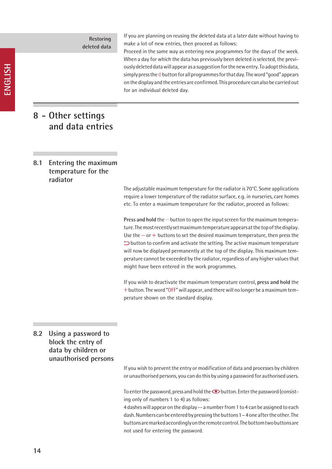**Restoring deleted data** If you are planning on reusing the deleted data at a later date without having to make a lot of new entries, then proceed as follows:

Proceed in the same way as entering new programmes for the days of the week. When a day for which the data has previously been deleted is selected, the previously deleted data will appear as a suggestion for the new entry. To adopt this data, simply press the  $\odot$  button for all programmes for that day. The word "good" appears on the display and the entries are confirmed. This procedure can also be carried out for an individual deleted day.

### **8 - Other settings and data entries**

#### **8.1 Entering the maximum temperature for the radiator**

The adjustable maximum temperature for the radiator is 70°C. Some applications require a lower temperature of the radiator surface, e.g. in nurseries, care homes etc. To enter a maximum temperature for the radiator, proceed as follows:

**Press and hold** the  $-$  button to open the input screen for the maximum temperature. The most recently set maximum temperature appears at the top of the display. Use the  $-$  or  $+$  buttons to set the desired maximum temperature, then press the  $\supset$  button to confirm and activate the setting. The active maximum temperature will now be displayed permanently at the top of the display. This maximum temperature cannot be exceeded by the radiator, regardless of any higher values that might have been entered in the work programmes.

If you wish to deactivate the maximum temperature control, **press and hold** the  $+$  button. The word "OFF" will appear, and there will no longer be a maximum temperature shown on the standard display.

#### **8.2 Using a password to block the entry of data by children or unauthorised persons**

If you wish to prevent the entry or modification of data and processes by children or unauthorised persons, you can do this by using a password for authorised users.

To enter the password, press and hold the  $\bigcirc$  button. Enter the password (consisting only of numbers 1 to 4) as follows:

4 dashes will appear on the display -- a number from 1 to 4 can be assigned to each dash. Numbers can be entered by pressing the buttons 1 – 4 one after the other. The buttons are marked accordingly on the remote control. The bottom two buttons are not used for entering the password.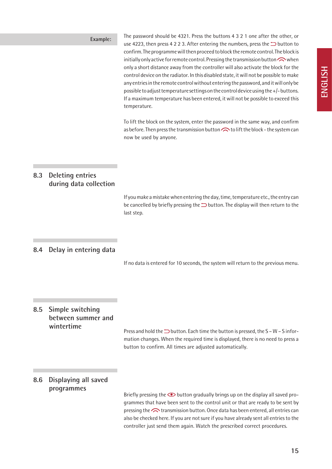**Example:** The password should be 4321. Press the buttons 4 3 2 1 one after the other, or use 4223, then press 4 2 2 3. After entering the numbers, press the  $\supset$  button to confirm. The programme will then proceed to block the remote control. The block is initially only active for remote control. Pressing the transmission button  $\bigcap$  when only a short distance away from the controller will also activate the block for the control device on the radiator. In this disabled state, it will not be possible to make any entries in the remote control without entering the password, and it will only be possible to adjust temperature settings on the control device using the +/- buttons. If a maximum temperature has been entered, it will not be possible to exceed this temperature.

> To lift the block on the system, enter the password in the same way, and confirm as before. Then press the transmission button  $\bigodot$  to lift the block - the system can now be used by anyone.

#### **8.3 Deleting entries during data collection**

If you make a mistake when entering the day, time, temperature etc., the entry can be cancelled by briefly pressing the  $\supseteq$  button. The display will then return to the last step.

#### **8.4 Delay in entering data**

If no data is entered for 10 seconds, the system will return to the previous menu.

#### **8.5 Simple switching between summer and wintertime**

Press and hold the  $\Rightarrow$  button. Each time the button is pressed, the S – W – S information changes. When the required time is displayed, there is no need to press a button to confirm. All times are adjusted automatically.

#### **8.6 Displaying all saved programmes**

Briefly pressing the  $\bullet$  button gradually brings up on the display all saved programmes that have been sent to the control unit or that are ready to be sent by pressing the  $\bigodot$  transmission button. Once data has been entered, all entries can also be checked here. If you are not sure if you have already sent all entries to the controller just send them again. Watch the prescribed correct procedures.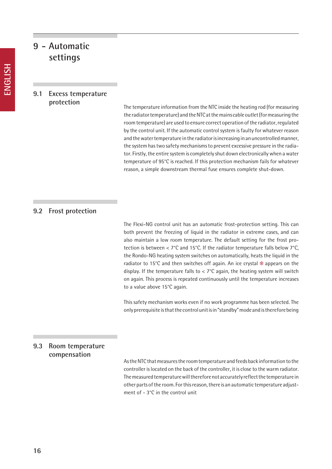### **9 - Automatic settings**

#### **9.1 Excess temperature protection**

The temperature information from the NTC inside the heating rod (for measuring the radiator temperature) and the NTC at the mains cable outlet (for measuring the room temperature) are used to ensure correct operation of the radiator, regulated by the control unit. If the automatic control system is faulty for whatever reason and the water temperature in the radiator is increasing in an uncontrolled manner, the system has two safety mechanisms to prevent excessive pressure in the radiator. Firstly, the entire system is completely shut down electronically when a water temperature of 95°C is reached. If this protection mechanism fails for whatever reason, a simple downstream thermal fuse ensures complete shut-down.

#### **9.2 Frost protection**

The Flexi-NG control unit has an automatic frost-protection setting. This can both prevent the freezing of liquid in the radiator in extreme cases, and can also maintain a low room temperature. The default setting for the frost protection is between < 7°C and 15°C. If the radiator temperature falls below 7°C, the Rondo-NG heating system switches on automatically, heats the liquid in the radiator to 15°C and then switches off again. An ice crystal  $*$  appears on the display. If the temperature falls to  $< 7^{\circ}$ C again, the heating system will switch on again. This process is repeated continuously until the temperature increases to a value above 15°C again.

This safety mechanism works even if no work programme has been selected. The only prerequisite is that the control unit is in "standby" mode and is therefore being

#### **9.3 Room temperature compensation**

As the NTC that measures the room temperature and feeds back information to the controller is located on the back of the controller, it is close to the warm radiator. The measured temperature will therefore not accurately reflect the temperature in other parts of the room. For this reason, there is an automatic temperature adjustment of - 3°C in the control unit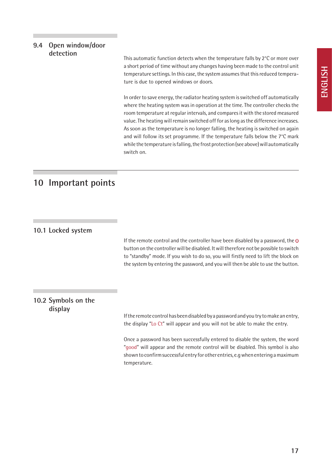#### **9.4 Open window/door detection**

This automatic function detects when the temperature falls by 2°C or more over a short period of time without any changes having been made to the control unit temperature settings. In this case, the system assumes that this reduced temperature is due to opened windows or doors.

In order to save energy, the radiator heating system is switched off automatically where the heating system was in operation at the time. The controller checks the room temperature at regular intervals, and compares it with the stored measured value. The heating will remain switched off for as long as the difference increases. As soon as the temperature is no longer falling, the heating is switched on again and will follow its set programme. If the temperature falls below the 7°C mark while the temperature is falling, the frost protection (see above) will automatically switch on.

# **10 Important points**

#### **10.1 Locked system**

If the remote control and the controller have been disabled by a password, the  $\Phi$ button on the controller will be disabled. It will therefore not be possible to switch to "standby" mode. If you wish to do so, you will firstly need to lift the block on the system by entering the password, and you will then be able to use the button.

#### **10.2 Symbols on the display**

If the remote control has been disabled by a password and you try to make an entry, the display "Lo Ct" will appear and you will not be able to make the entry.

Once a password has been successfully entered to disable the system, the word "good" will appear and the remote control will be disabled. This symbol is also shown to confirm successful entry for other entries, e.g when entering a maximum temperature.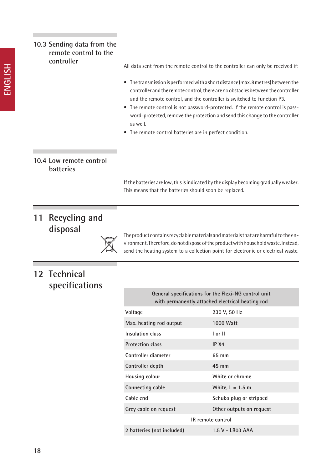| 10.3 Sending data from the<br>remote control to the<br>controller |                                                                                                                                                 |                                                                                                                                                                                                                                                                                                                                                                                                                 |  |
|-------------------------------------------------------------------|-------------------------------------------------------------------------------------------------------------------------------------------------|-----------------------------------------------------------------------------------------------------------------------------------------------------------------------------------------------------------------------------------------------------------------------------------------------------------------------------------------------------------------------------------------------------------------|--|
|                                                                   | All data sent from the remote control to the controller can only be received if:                                                                |                                                                                                                                                                                                                                                                                                                                                                                                                 |  |
|                                                                   | ٠<br>as well.<br>The remote control batteries are in perfect condition.                                                                         | • The transmission is performed with a short distance (max. 8 metres) between the<br>controller and the remote control, there are no obstacles between the controller<br>and the remote control, and the controller is switched to function P3.<br>The remote control is not password-protected. If the remote control is pass-<br>word-protected, remove the protection and send this change to the controller |  |
| 10.4 Low remote control<br>batteries                              |                                                                                                                                                 |                                                                                                                                                                                                                                                                                                                                                                                                                 |  |
|                                                                   | If the batteries are low, this is indicated by the display becoming gradually weaker.<br>This means that the batteries should soon be replaced. |                                                                                                                                                                                                                                                                                                                                                                                                                 |  |
| <b>Recycling and</b><br>11<br>disposal                            |                                                                                                                                                 | The product contains recyclable materials and materials that are harmful to the en-<br>vironment. Therefore, do not dispose of the product with household waste. Instead,<br>send the heating system to a collection point for electronic or electrical waste.                                                                                                                                                  |  |
| 12 Technical<br>specifications                                    |                                                                                                                                                 |                                                                                                                                                                                                                                                                                                                                                                                                                 |  |
|                                                                   | General specifications for the Flexi-NG control unit<br>with permanently attached electrical heating rod                                        |                                                                                                                                                                                                                                                                                                                                                                                                                 |  |
|                                                                   | Voltage                                                                                                                                         | 230 V, 50 Hz                                                                                                                                                                                                                                                                                                                                                                                                    |  |
|                                                                   | Max. heating rod output                                                                                                                         | <b>1000 Watt</b>                                                                                                                                                                                                                                                                                                                                                                                                |  |
|                                                                   | Insulation class                                                                                                                                | I or II                                                                                                                                                                                                                                                                                                                                                                                                         |  |
|                                                                   | <b>Protection class</b>                                                                                                                         | IP X4                                                                                                                                                                                                                                                                                                                                                                                                           |  |
|                                                                   | Controller diameter                                                                                                                             | 65 mm                                                                                                                                                                                                                                                                                                                                                                                                           |  |
|                                                                   | Controller depth                                                                                                                                | 45 mm                                                                                                                                                                                                                                                                                                                                                                                                           |  |
|                                                                   | Housing colour                                                                                                                                  | White or chrome                                                                                                                                                                                                                                                                                                                                                                                                 |  |
|                                                                   | Connecting cable                                                                                                                                | White, $L = 1.5$ m                                                                                                                                                                                                                                                                                                                                                                                              |  |
|                                                                   | Cable end                                                                                                                                       | Schuko plug or stripped                                                                                                                                                                                                                                                                                                                                                                                         |  |
|                                                                   | Grey cable on request                                                                                                                           | Other outputs on request                                                                                                                                                                                                                                                                                                                                                                                        |  |
|                                                                   |                                                                                                                                                 | IR remote control                                                                                                                                                                                                                                                                                                                                                                                               |  |

п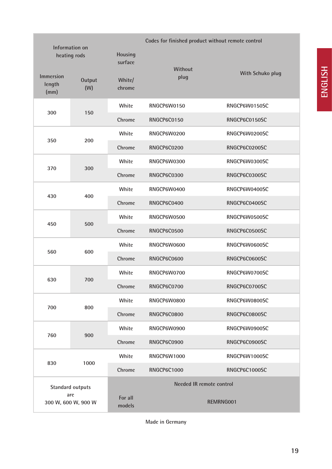| Information on<br>heating rods                        |               | Codes for finished product without remote control<br>Housing<br>surface |                          |                  |
|-------------------------------------------------------|---------------|-------------------------------------------------------------------------|--------------------------|------------------|
| <b>Immersion</b><br>length<br>(mm)                    | Output<br>(W) | White/<br>chrome                                                        | Without<br>plug          | With Schuko plug |
|                                                       |               | White                                                                   | RNGCP6W0150              | RNGCP6W0150SC    |
| 300                                                   | 150           | Chrome                                                                  | RNGCP6C0150              | RNGCP6C0150SC    |
|                                                       |               | White                                                                   | RNGCP6W0200              | RNGCP6W0200SC    |
| 350                                                   | 200           | Chrome                                                                  | RNGCP6C0200              | RNGCP6C0200SC    |
|                                                       |               | White                                                                   | RNGCP6W0300              | RNGCP6W0300SC    |
| 370                                                   | 300           | Chrome                                                                  | RNGCP6C0300              | RNGCP6C0300SC    |
|                                                       |               | White                                                                   | RNGCP6W0400              | RNGCP6W0400SC    |
| 430                                                   | 400           | Chrome                                                                  | RNGCP6C0400              | RNGCP6C0400SC    |
|                                                       |               | White                                                                   | RNGCP6W0500              | RNGCP6W0500SC    |
| 450                                                   | 500           | Chrome                                                                  | RNGCP6C0500              | RNGCP6C0500SC    |
|                                                       |               | White                                                                   | RNGCP6W0600              | RNGCP6W0600SC    |
| 560                                                   | 600           | Chrome                                                                  | RNGCP6C0600              | RNGCP6C0600SC    |
|                                                       |               | White                                                                   | RNGCP6W0700              | RNGCP6W0700SC    |
| 630                                                   | 700           | Chrome                                                                  | RNGCP6C0700              | RNGCP6C0700SC    |
|                                                       |               | White                                                                   | RNGCP6W0800              | RNGCP6W0800SC    |
| 700                                                   | 800           | Chrome                                                                  | RNGCP6C0800              | RNGCP6C0800SC    |
|                                                       |               | White                                                                   | RNGCP6W0900              | RNGCP6W0900SC    |
| 760                                                   | 900           | Chrome                                                                  | RNGCP6C0900              | RNGCP6C0900SC    |
|                                                       |               | White                                                                   | <b>RNGCP6W1000</b>       | RNGCP6W1000SC    |
| 830                                                   | 1000          | Chrome                                                                  | RNGCP6C1000              | RNGCP6C1000SC    |
| <b>Standard outputs</b><br>are<br>300 W, 600 W, 900 W |               |                                                                         | Needed IR remote control |                  |
|                                                       |               | For all<br>models                                                       | REMRNG001                |                  |

**Made in Germany**